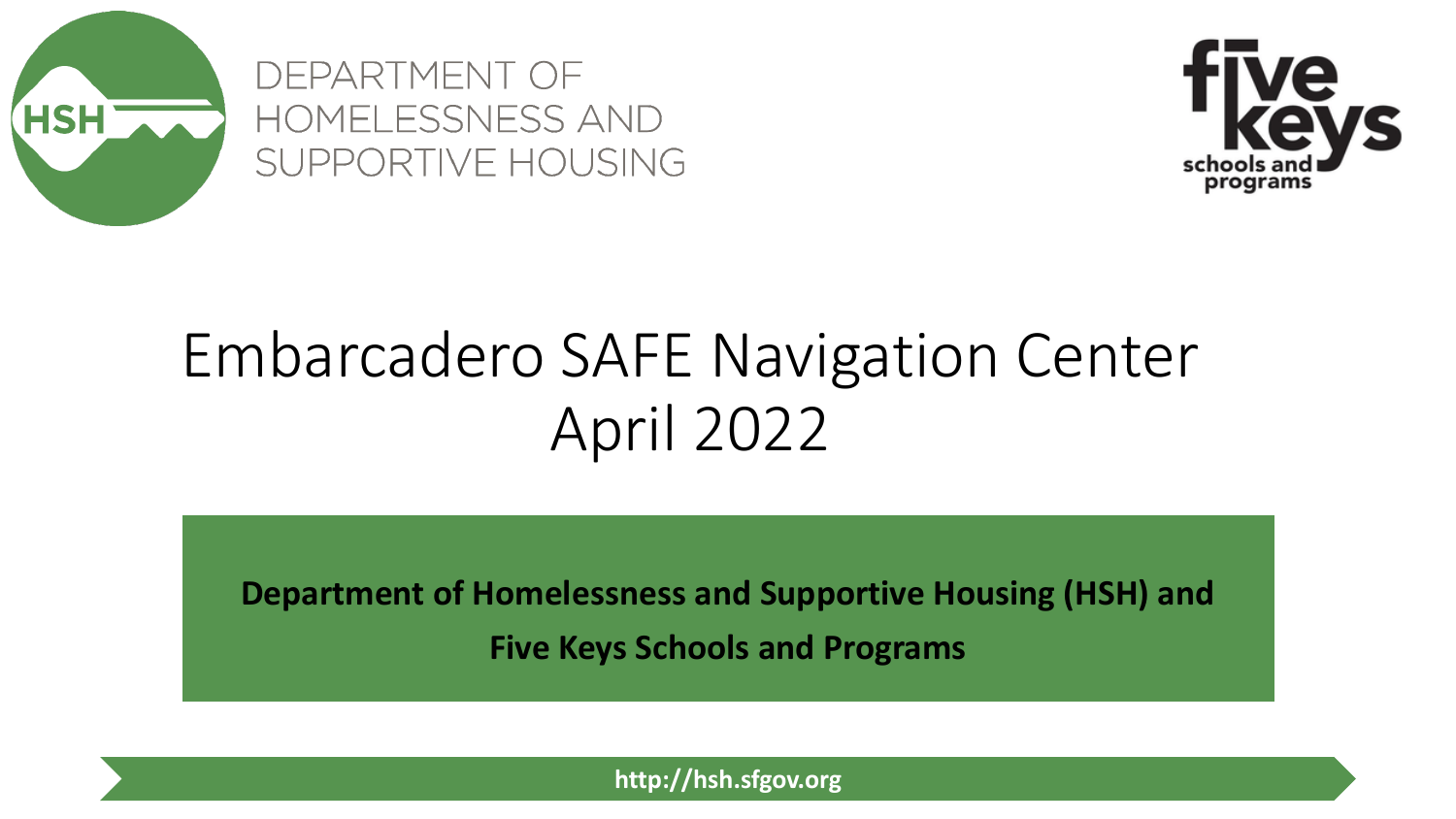

DEPARTMENT OF HOMELESSNESS AND SUPPORTIVE HOUSING



# Embarcadero SAFE Navigation Center April 2022

**Department of Homelessness and Supportive Housing (HSH) and** 

**Five Keys Schools and Programs**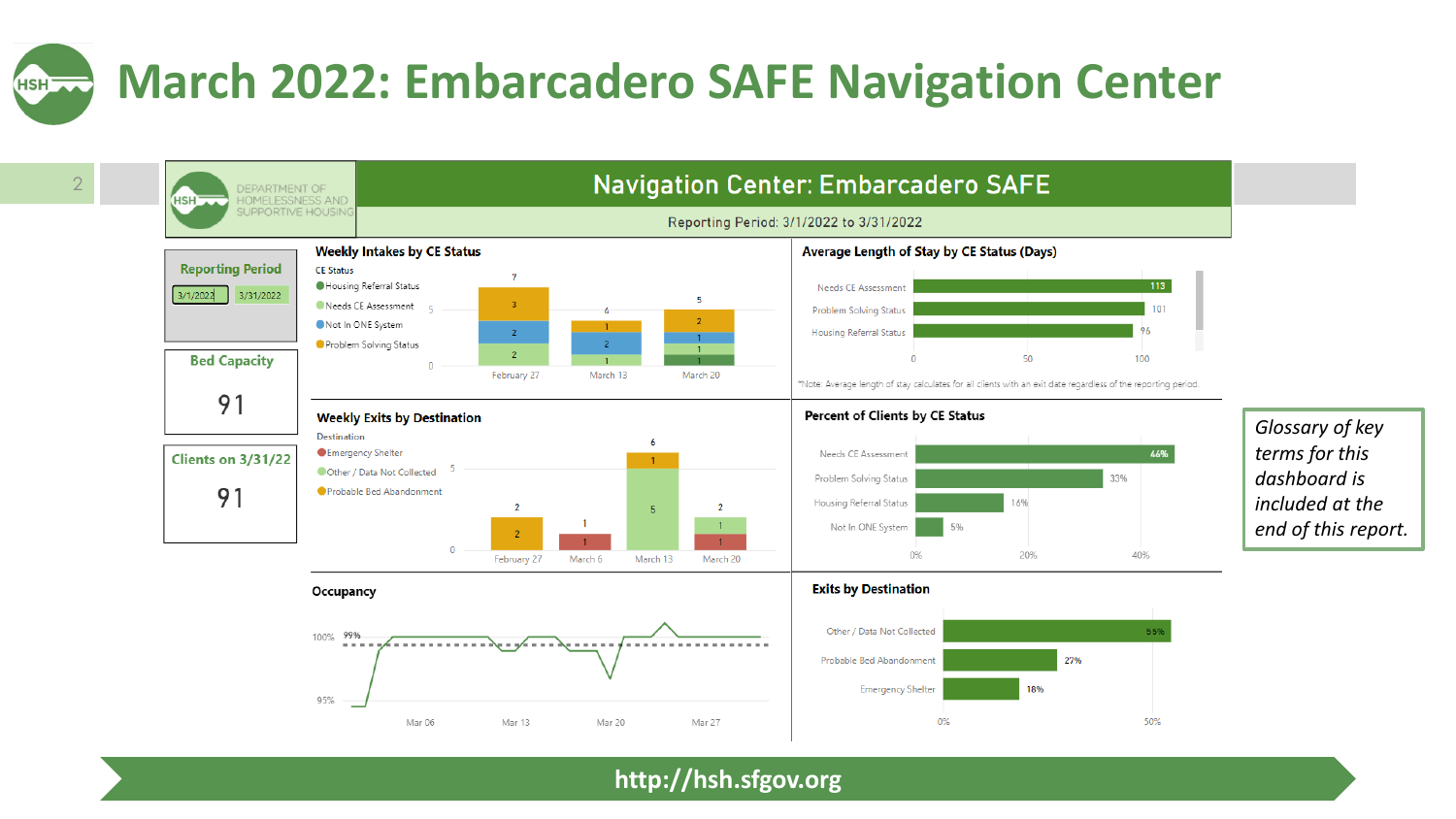#### **March 2022: Embarcadero SAFE Navigation Center** HSH<sub>2</sub>

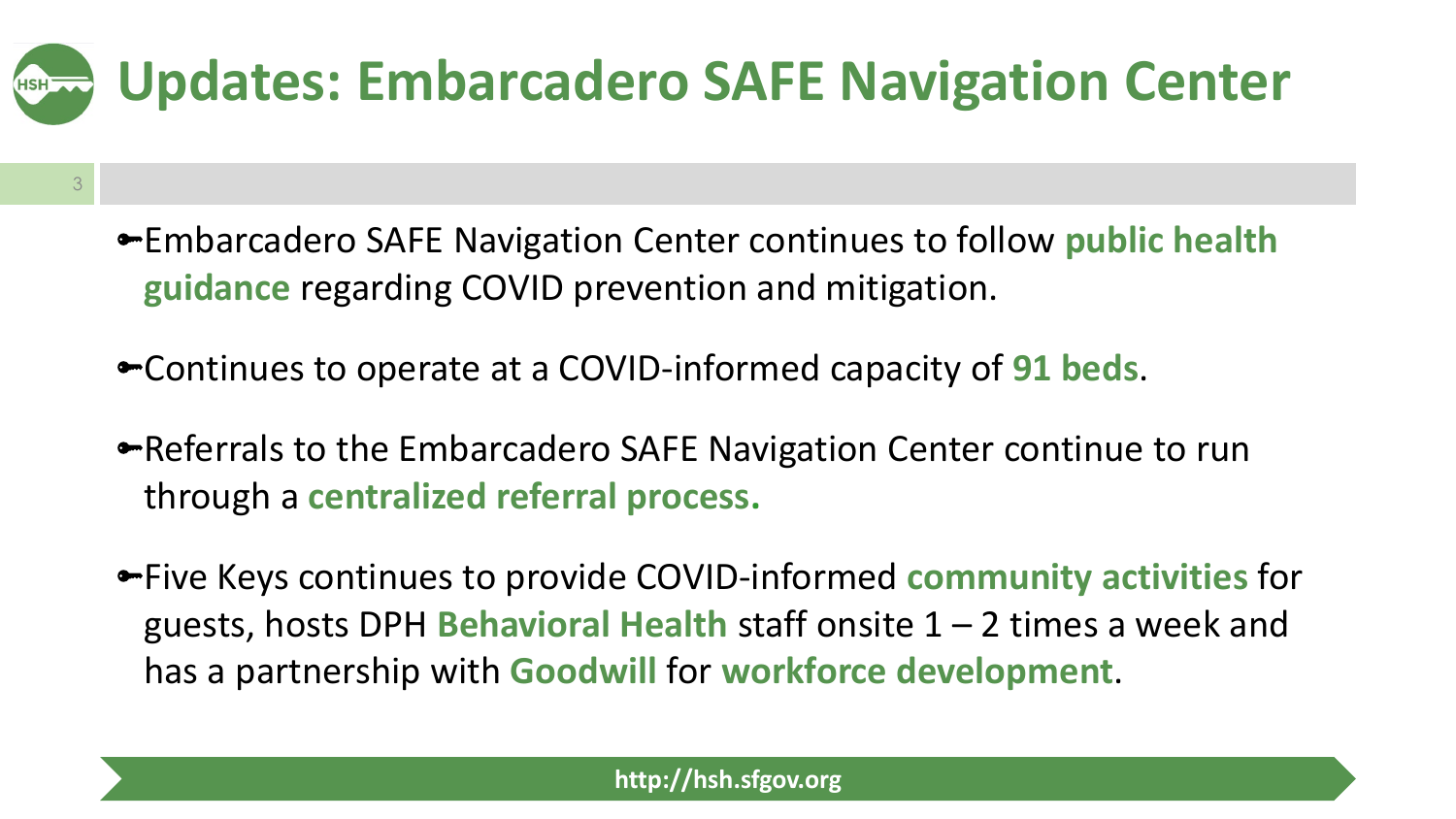

- Embarcadero SAFE Navigation Center continues to follow **public health guidance** regarding COVID prevention and mitigation.
- Continues to operate at a COVID-informed capacity of **91 beds**.

3

- Referrals to the Embarcadero SAFE Navigation Center continue to run through a **centralized referral process.**
- Five Keys continues to provide COVID-informed **community activities** for guests, hosts DPH **Behavioral Health** staff onsite 1 – 2 times a week and has a partnership with **Goodwill** for **workforce development**.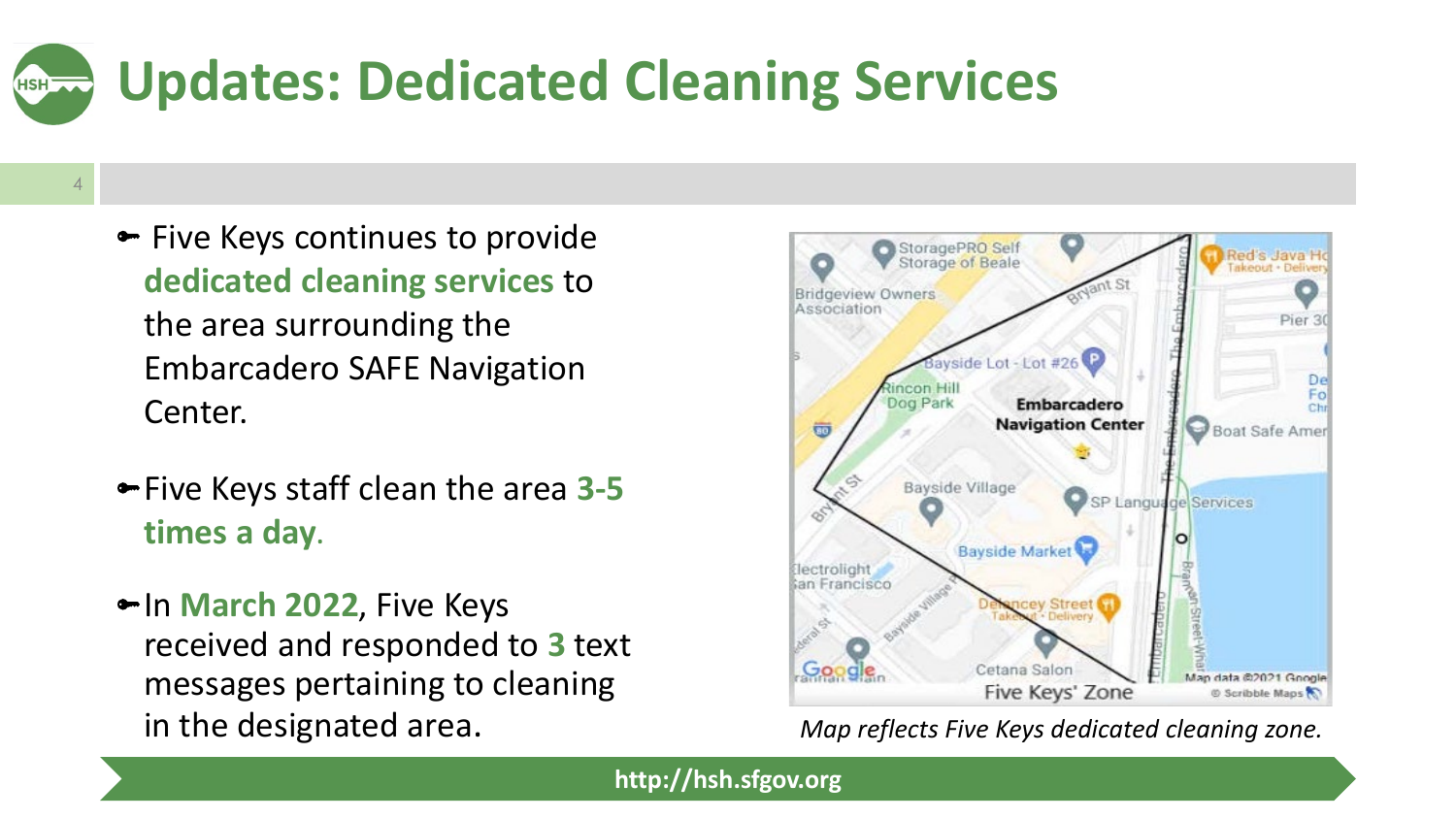## **Updates: Dedicated Cleaning Services HSH**

- 4
- Five Keys continues to provide **dedicated cleaning services** to the area surrounding the Embarcadero SAFE Navigation Center.
- Five Keys staff clean the area **3-5 times a day**.
- In **March 2022**, Five Keys received and responded to **3** text messages pertaining to cleaning in the designated area. *Map reflects Five Keys dedicated cleaning zone.*

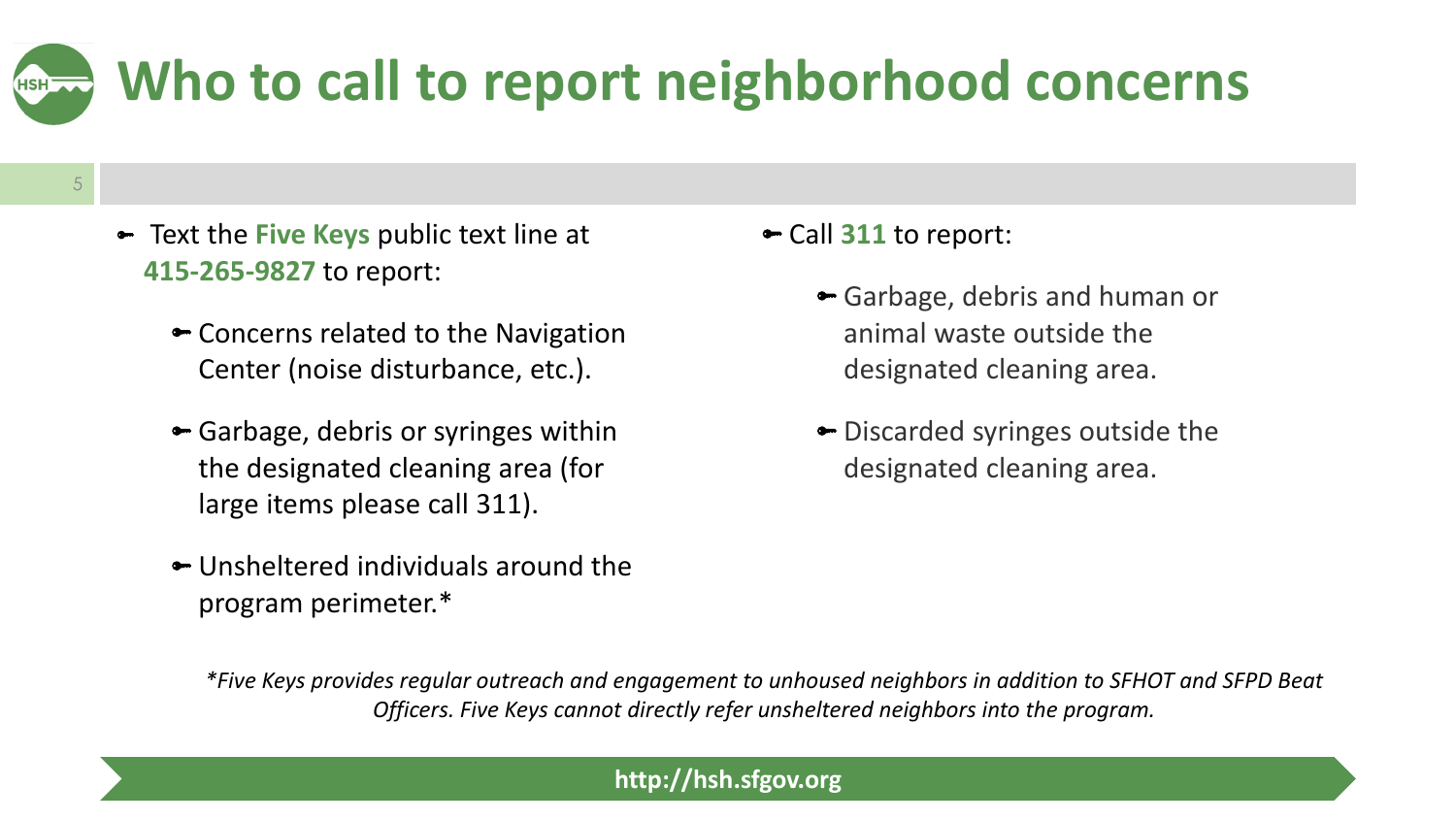## **Who to call to report neighborhood concerns** HSH<sup>-</sup>

- 5
- ► Text the **Five Keys** public text line at **415-265-9827** to report:
	- Concerns related to the Navigation Center (noise disturbance, etc.).
	- Garbage, debris or syringes within the designated cleaning area (for large items please call 311).
	- Unsheltered individuals around the program perimeter.\*

Call **311** to report:

- Garbage, debris and human or animal waste outside the designated cleaning area.
- Discarded syringes outside the designated cleaning area.

*\*Five Keys provides regular outreach and engagement to unhoused neighbors in addition to SFHOT and SFPD Beat Officers. Five Keys cannot directly refer unsheltered neighbors into the program.*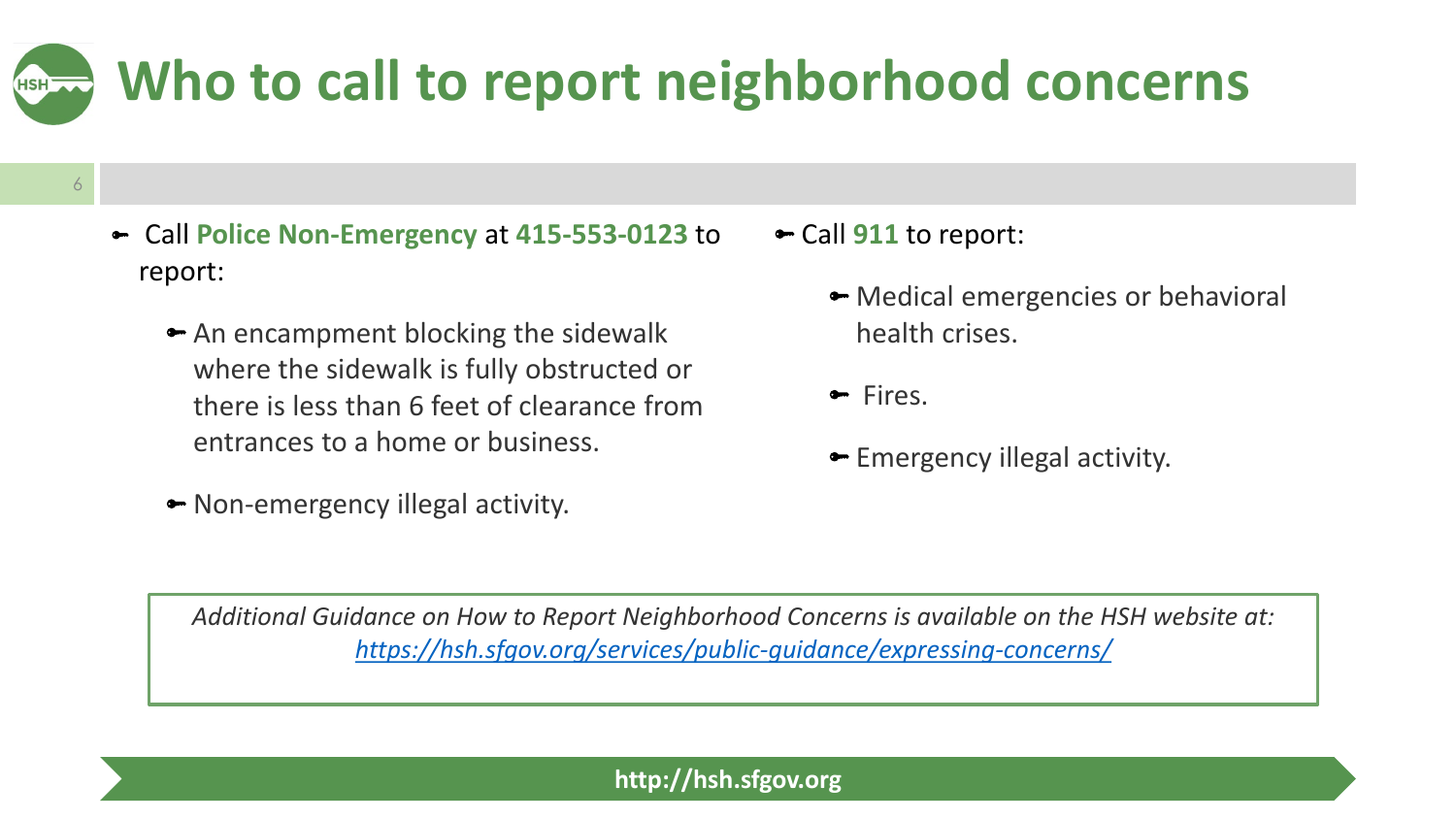## **Who to call to report neighborhood concerns** HSH<sup>-</sup>

- 6
- Call **Police Non-Emergency** at **415-553-0123** to report:
	- An encampment blocking the sidewalk where the sidewalk is fully obstructed or there is less than 6 feet of clearance from entrances to a home or business.
	- Non-emergency illegal activity.
- Call **911** to report:
	- Medical emergencies or behavioral health crises.
	- Fires.
	- Emergency illegal activity.

*Additional Guidance on How to Report Neighborhood Concerns is available on the HSH website at: <https://hsh.sfgov.org/services/public-guidance/expressing-concerns/>*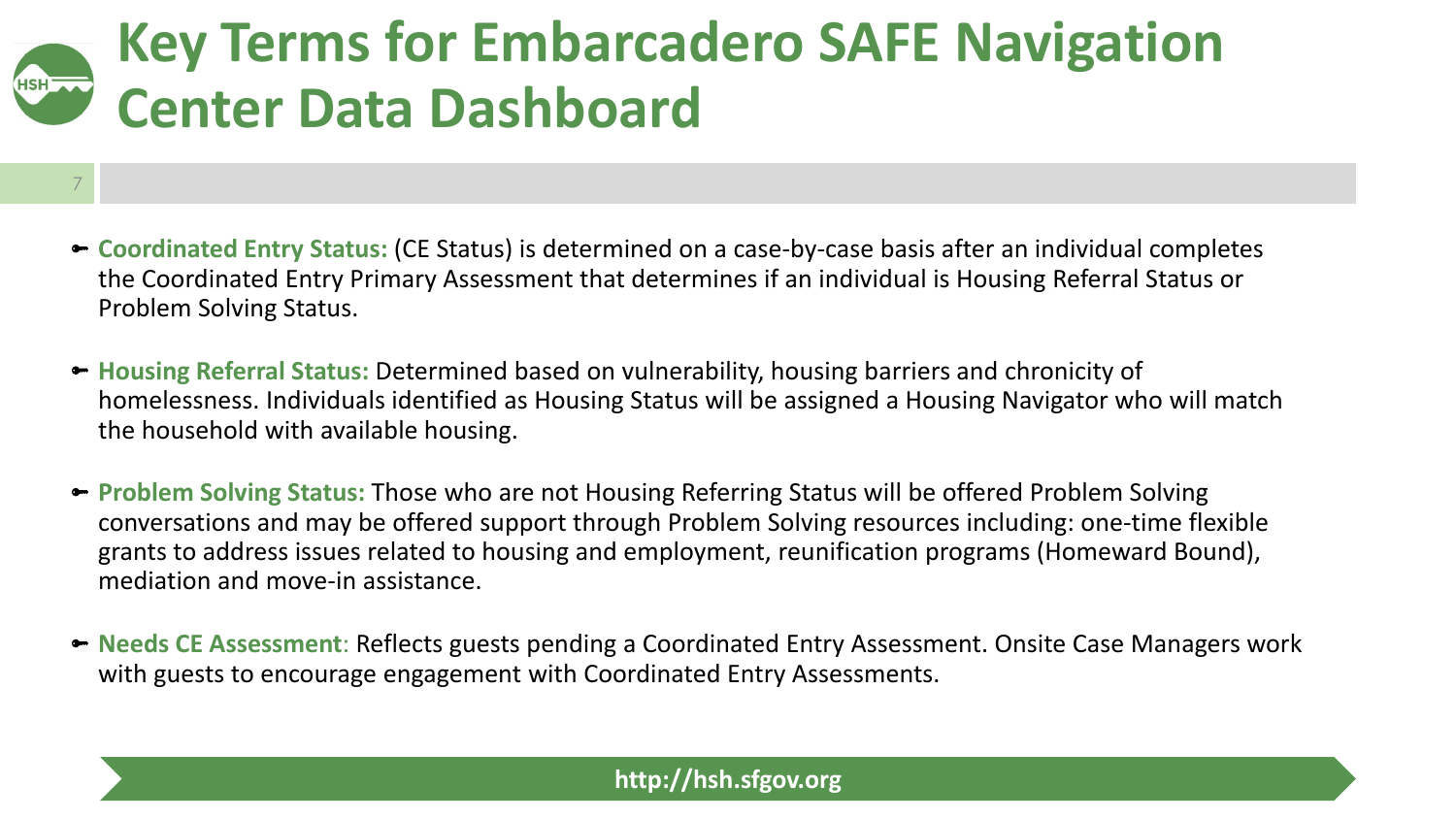## **Key Terms for Embarcadero SAFE Navigation Center Data Dashboard**

7

- **Coordinated Entry Status:** (CE Status) is determined on a case-by-case basis after an individual completes the Coordinated Entry Primary Assessment that determines if an individual is Housing Referral Status or Problem Solving Status.
- **Housing Referral Status:** Determined based on vulnerability, housing barriers and chronicity of homelessness. Individuals identified as Housing Status will be assigned a Housing Navigator who will match the household with available housing.
- **Problem Solving Status:** Those who are not Housing Referring Status will be offered Problem Solving conversations and may be offered support through Problem Solving resources including: one-time flexible grants to address issues related to housing and employment, reunification programs (Homeward Bound), mediation and move-in assistance.
- **Needs CE Assessment**: Reflects guests pending a Coordinated Entry Assessment. Onsite Case Managers work with guests to encourage engagement with Coordinated Entry Assessments.